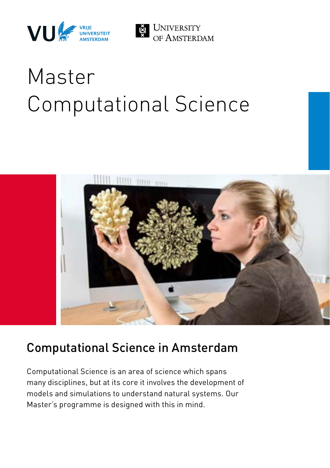



# Master Computational Science



## Computational Science in Amsterdam

Computational Science is an area of science which spans many disciplines, but at its core it involves the development of models and simulations to understand natural systems. Our Master's programme is designed with this in mind.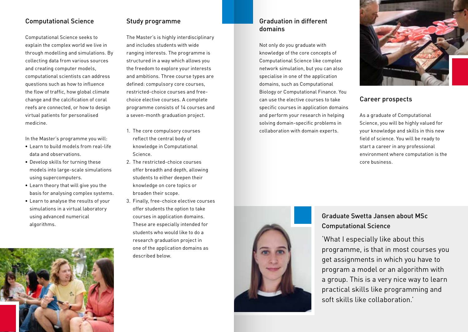## Computational Science

Computational Science seeks to explain the complex world we live in through modelling and simulations. By collecting data from various sources and creating computer models, computational scientists can address questions such as how to influence the flow of traffic, how global climate change and the calcification of coral reefs are connected, or how to design virtual patients for personalised medicine.

In the Master's programme you will:

- Learn to build models from real-life data and observations.
- Develop skills for turning these models into large-scale simulations using supercomputers.
- Learn theory that will give you the basis for analysing complex systems.
- Learn to analyse the results of your simulations in a virtual laboratory using advanced numerical algorithms.



## Study programme

The Master's is highly interdisciplinary and includes students with wide ranging interests. The programme is structured in a way which allows you the freedom to explore your interests and ambitions. Three course types are defined: compulsory core courses, restricted-choice courses and freechoice elective courses. A complete programme consists of 14 courses and a seven-month graduation project.

- 1. The core compulsory courses reflect the central body of knowledge in Computational Science.
- 2. The restricted-choice courses offer breadth and depth, allowing students to either deepen their knowledge on core topics or broaden their scope.
- 3. Finally, free-choice elective courses offer students the option to take courses in application domains. These are especially intended for students who would like to do a research graduation project in one of the application domains as described below.

#### Graduation in different domains

Not only do you graduate with knowledge of the core concepts of Computational Science like complex network simulation, but you can also specialise in one of the application domains, such as Computational Biology or Computational Finance. You can use the elective courses to take specific courses in application domains and perform your research in helping solving domain-specific problems in collaboration with domain experts.



#### Career prospects

As a graduate of Computational Science, you will be highly valued for your knowledge and skills in this new field of science. You will be ready to start a career in any professional environment where computation is the core business.



## Graduate Swetta Jansen about MSc Computational Science

'What I especially like about this programme, is that in most courses you get assignments in which you have to program a model or an algorithm with a group. This is a very nice way to learn practical skills like programming and soft skills like collaboration.'